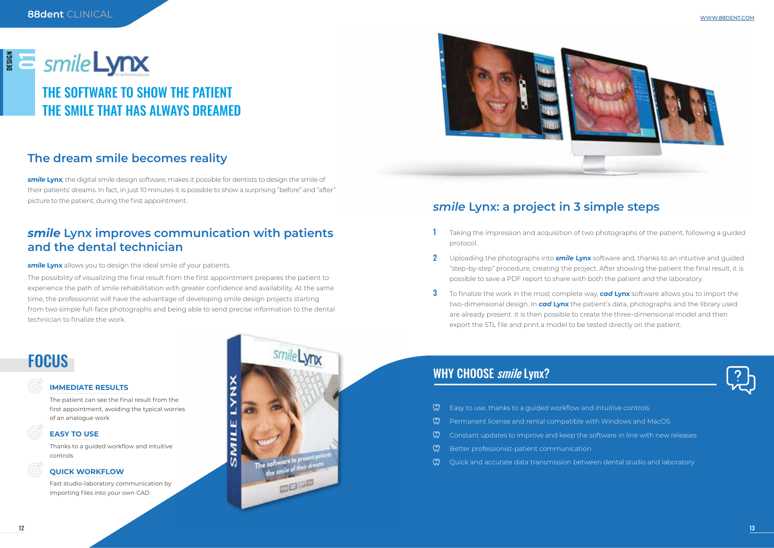| ನಿ - | Easy to use, thanks to a guided workflow and                          |
|------|-----------------------------------------------------------------------|
|      | $\mathbb{\widetilde{N}}$ Permanent license and rental compatible w    |
|      | $\sqrt[3]{\ }$ Constant updates to improve and keep the s             |
|      | $\mathbb{\widetilde{N}}$ Better professionist-patient communication   |
|      | $\mathbb{\widetilde{N}}$ . Quick and accurate data transmission betwe |
|      |                                                                       |

*smile* **Lynx**, the digital smile design software, makes it possible for dentists to design the smile of their patients' dreams. In fact, in just 10 minutes it is possible to show a surprising "before" and "after" picture to the patient, during the first appointment.

Taking the impression and acquisition of two photographs of the patient, following a guided

Uploading the photographs into *smile* **Lynx** software and, thanks to an intuitive and guided "step-by-step" procedure, creating the project. After showing the patient the final result, it is

To finalize the work in the most complete way, *cad* **Lynx** software allows you to import the two-dimensional design. In *cad* **Lynx** the patient's data, photographs and the library used are already present. It is then possible to create the three-dimensional model and then



- d intuitive controls
- vith Windows and MacOS
- software in line with new releases
- 
- een dental studio and laboratory

# DESIGN<br>Online THE SOFTWARE TO SHOW THE PATIENT THE SMILE THAT HAS ALWAYS DREAMED

### *smile* **Lynx: a project in 3 simple steps**

- protocol. 1
- possible to save a PDF report to share with both the patient and the laboratory. 2
- export the STL file and print a model to be tested directly on the patient. 3

### WHY CHOOSE smile Lynx?

The possibility of visualizing the final result from the first appointment prepares the patient to experience the path of smile rehabilitation with greater confidence and availability. At the same time, the professionist will have the advantage of developing smile design projects starting from two simple full-face photographs and being able to send precise information to the dental technician to finalize the work.

## **FOCUS**

### *smile* **Lynx improves communication with patients and the dental technician**

**smile Lynx** allows you to design the ideal smile of your patients.

### **The dream smile becomes reality**

#### **IMMEDIATE RESULTS**

The patient can see the final result from the first appointment, avoiding the typical worries of an analogue work

#### **EASY TO USE**

Thanks to a guided workflow and intuitive controls

#### **QUICK WORKFLOW**

Fast studio-laboratory communication by importing files into your own CAD